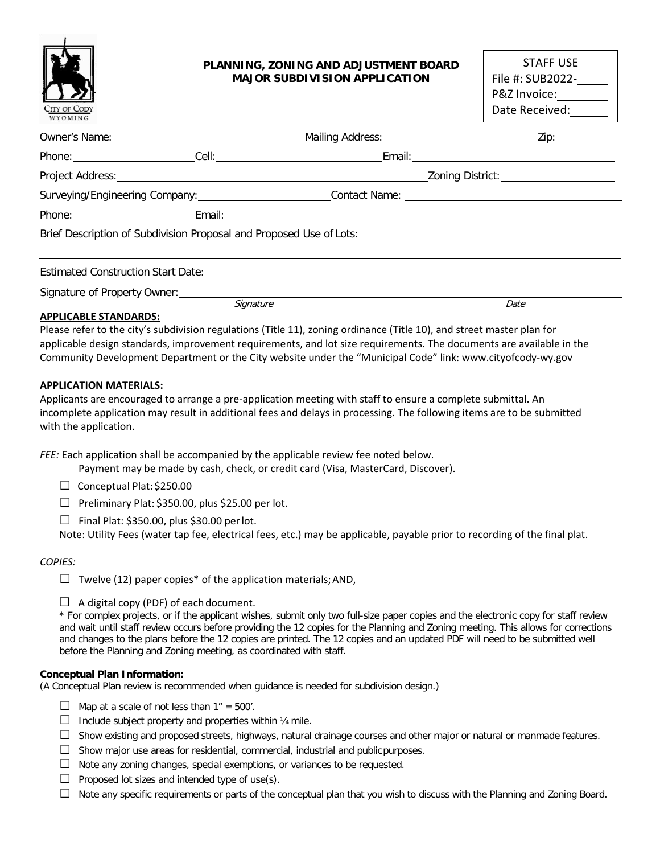

# **PLANNING, ZONING AND ADJUSTMENT BOARD MAJOR SUBDIVISION APPLICATION**

| STAFF USE        |  |  |  |  |
|------------------|--|--|--|--|
| File #: SUB2022- |  |  |  |  |
| P&Z Invoice:     |  |  |  |  |
| Date Received:   |  |  |  |  |
|                  |  |  |  |  |

| Surveying/Engineering Company: __________________________Contact Name: _____________________________ |                                               |                                                                                                                  |                                                                                                                                         |
|------------------------------------------------------------------------------------------------------|-----------------------------------------------|------------------------------------------------------------------------------------------------------------------|-----------------------------------------------------------------------------------------------------------------------------------------|
|                                                                                                      |                                               |                                                                                                                  |                                                                                                                                         |
|                                                                                                      |                                               |                                                                                                                  | Brief Description of Subdivision Proposal and Proposed Use of Lots: New York Channel And Subdivision Proposal and Proposed Use of Lots: |
|                                                                                                      |                                               |                                                                                                                  |                                                                                                                                         |
|                                                                                                      |                                               | Estimated Construction Start Date: No. 1996. The Construction Start Date: No. 1997. The Construction Start Date: |                                                                                                                                         |
|                                                                                                      | Signature of Property Owner: ________________ |                                                                                                                  |                                                                                                                                         |
|                                                                                                      | Sianature                                     |                                                                                                                  | Date                                                                                                                                    |

## **APPLICABLE STANDARDS:**

Please refer to the city's subdivision regulations (Title 11), zoning ordinance (Title 10), and street master plan for applicable design standards, improvement requirements, and lot size requirements. The documents are available in the Community Development Department or the City website under the "Municipal Code" link[: www.cityofcody-wy.gov](http://www.cityofcody-wy.gov/)

## **APPLICATION MATERIALS:**

Applicants are encouraged to arrange a pre-application meeting with staff to ensure a complete submittal. An incomplete application may result in additional fees and delays in processing. The following items are to be submitted with the application.

*FEE:* Each application shall be accompanied by the applicable review fee noted below.

Payment may be made by cash, check, or credit card (Visa, MasterCard, Discover).

□ Conceptual Plat: \$250.00

 $\Box$  Preliminary Plat: \$350.00, plus \$25.00 per lot.

 $\Box$  Final Plat: \$350.00, plus \$30.00 per lot.

Note: Utility Fees (water tap fee, electrical fees, etc.) may be applicable, payable prior to recording of the final plat.

### *COPIES:*

 $\Box$  Twelve (12) paper copies\* of the application materials; AND,

 $\Box$  A digital copy (PDF) of each document.

\* For complex projects, or if the applicant wishes, submit only two full-size paper copies and the electronic copy for staff review and wait until staff review occurs before providing the 12 copies for the Planning and Zoning meeting. This allows for corrections and changes to the plans before the 12 copies are printed. The 12 copies and an updated PDF will need to be submitted well before the Planning and Zoning meeting, as coordinated with staff.

### **Conceptual Plan Information:**

(A Conceptual Plan review is recommended when guidance is needed for subdivision design.)

- $\Box$  Map at a scale of not less than 1" = 500'.
- $\Box$  Include subject property and properties within  $\frac{1}{4}$  mile.
- $\Box$  Show existing and proposed streets, highways, natural drainage courses and other major or natural or manmade features.
- $\Box$  Show major use areas for residential, commercial, industrial and public purposes.
- $\Box$  Note any zoning changes, special exemptions, or variances to be requested.
- $\Box$  Proposed lot sizes and intended type of use(s).
- $\Box$  Note any specific requirements or parts of the conceptual plan that you wish to discuss with the Planning and Zoning Board.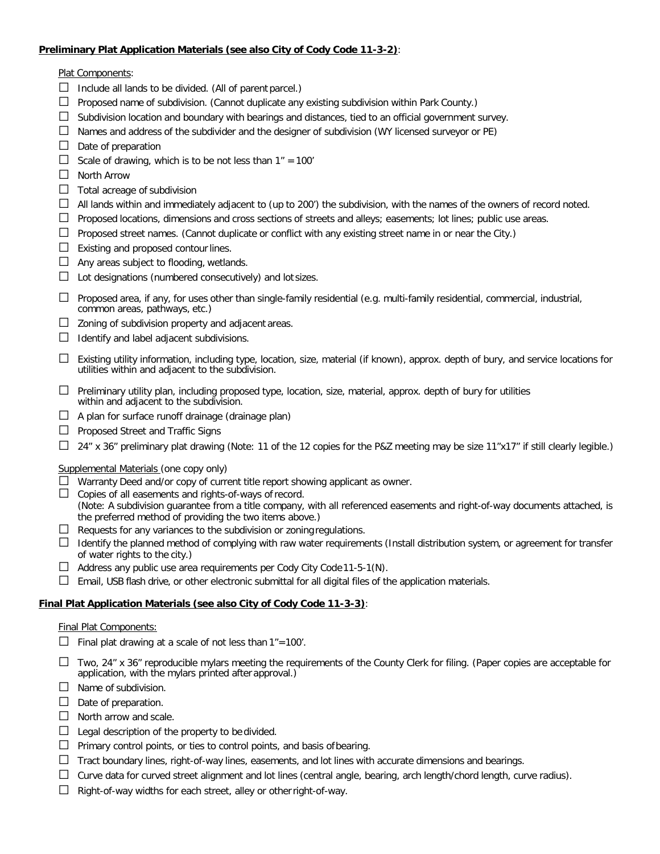### **Preliminary Plat Application Materials (see also City of Cody Code 11-3-2)**:

Plat Components:

- $\Box$  Include all lands to be divided. (All of parent parcel.)
- $\Box$  Proposed name of subdivision. (Cannot duplicate any existing subdivision within Park County.)
- $\Box$  Subdivision location and boundary with bearings and distances, tied to an official government survey.
- $\Box$  Names and address of the subdivider and the designer of subdivision (WY licensed surveyor or PE)
- $\Box$  Date of preparation
- □ Scale of drawing, which is to be not less than  $1" = 100'$
- □ North Arrow
- $\Box$  Total acreage of subdivision
- $\Box$  All lands within and immediately adjacent to (up to 200') the subdivision, with the names of the owners of record noted.
- $\Box$  Proposed locations, dimensions and cross sections of streets and alleys; easements; lot lines; public use areas.
- $\Box$  Proposed street names. (Cannot duplicate or conflict with any existing street name in or near the City.)
- $\Box$  Existing and proposed contour lines.
- $\Box$  Any areas subject to flooding, wetlands.
- $\Box$  Lot designations (numbered consecutively) and lot sizes.
- $\Box$  Proposed area, if any, for uses other than single-family residential (e.g. multi-family residential, commercial, industrial, common areas, pathways, etc.)
- $\Box$  Zoning of subdivision property and adjacent areas.
- $\Box$  Identify and label adjacent subdivisions.
- □ Existing utility information, including type, location, size, material (if known), approx. depth of bury, and service locations for utilities within and adjacent to the subdivision.
- $\Box$  Preliminary utility plan, including proposed type, location, size, material, approx. depth of bury for utilities within and adjacent to the subdivision.
- $\Box$  A plan for surface runoff drainage (drainage plan)
- □ Proposed Street and Traffic Signs
- $\Box$  24" x 36" preliminary plat drawing (Note: 11 of the 12 copies for the P&Z meeting may be size 11"x17" if still clearly legible.)

### Supplemental Materials (one copy only)

- $\Box$  Warranty Deed and/or copy of current title report showing applicant as owner.
- $\Box$  Copies of all easements and rights-of-ways of record. (Note: A subdivision guarantee from a title company, with all referenced easements and right-of-way documents attached, is the preferred method of providing the two items above.)
- $\Box$  Requests for any variances to the subdivision or zoning regulations.
- $\Box$  Identify the planned method of complying with raw water requirements (Install distribution system, or agreement for transfer of water rights to the city.)
- $\Box$  Address any public use area requirements per Cody City Code 11-5-1(N).
- $\Box$  Email, USB flash drive, or other electronic submittal for all digital files of the application materials.

# **Final Plat Application Materials (see also City of Cody Code 11-3-3)**:

## Final Plat Components:

- $\Box$  Final plat drawing at a scale of not less than 1"=100'.
- $\Box$  Two, 24" x 36" reproducible mylars meeting the requirements of the County Clerk for filing. (Paper copies are acceptable for application, with the mylars printed after approval.)
- $\Box$  Name of subdivision.
- $\Box$  Date of preparation.
- $\Box$  North arrow and scale.
- $\Box$  Legal description of the property to be divided.
- $\Box$  Primary control points, or ties to control points, and basis of bearing.
- $\Box$  Tract boundary lines, right-of-way lines, easements, and lot lines with accurate dimensions and bearings.
- $\Box$  Curve data for curved street alignment and lot lines (central angle, bearing, arch length/chord length, curve radius).
- $\Box$  Right-of-way widths for each street, alley or other right-of-way.